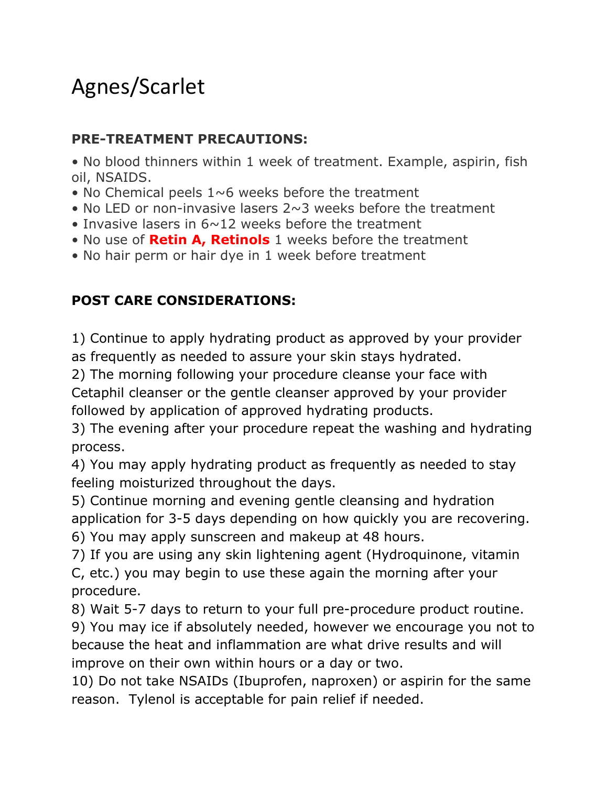## Agnes/Scarlet

## **PRE-TREATMENT PRECAUTIONS:**

• No blood thinners within 1 week of treatment. Example, aspirin, fish oil, NSAIDS.

- No Chemical peels  $1~\sim 6$  weeks before the treatment
- No LED or non-invasive lasers  $2 \sim 3$  weeks before the treatment
- Invasive lasers in 6~12 weeks before the treatment
- No use of **Retin A, Retinols** 1 weeks before the treatment
- No hair perm or hair dye in 1 week before treatment

## **POST CARE CONSIDERATIONS:**

1) Continue to apply hydrating product as approved by your provider as frequently as needed to assure your skin stays hydrated.

2) The morning following your procedure cleanse your face with

Cetaphil cleanser or the gentle cleanser approved by your provider followed by application of approved hydrating products.

3) The evening after your procedure repeat the washing and hydrating process.

4) You may apply hydrating product as frequently as needed to stay feeling moisturized throughout the days.

5) Continue morning and evening gentle cleansing and hydration application for 3-5 days depending on how quickly you are recovering.

6) You may apply sunscreen and makeup at 48 hours.

7) If you are using any skin lightening agent (Hydroquinone, vitamin C, etc.) you may begin to use these again the morning after your procedure.

8) Wait 5-7 days to return to your full pre-procedure product routine.

9) You may ice if absolutely needed, however we encourage you not to because the heat and inflammation are what drive results and will improve on their own within hours or a day or two.

10) Do not take NSAIDs (Ibuprofen, naproxen) or aspirin for the same reason. Tylenol is acceptable for pain relief if needed.